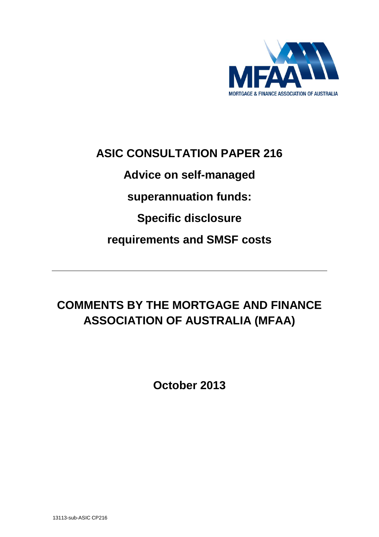

# **ASIC CONSULTATION PAPER 216**

**Advice on self-managed**

**superannuation funds:**

**Specific disclosure**

**requirements and SMSF costs**

# **COMMENTS BY THE MORTGAGE AND FINANCE ASSOCIATION OF AUSTRALIA (MFAA)**

**October 2013**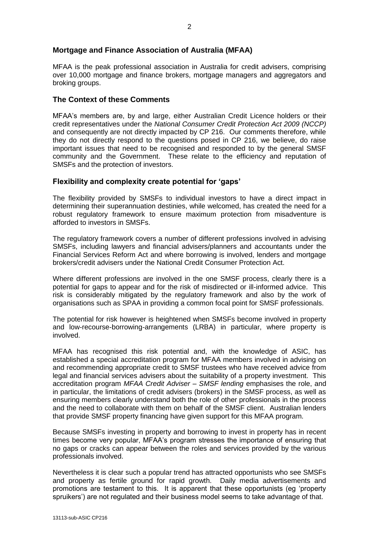## **Mortgage and Finance Association of Australia (MFAA)**

MFAA is the peak professional association in Australia for credit advisers, comprising over 10,000 mortgage and finance brokers, mortgage managers and aggregators and broking groups.

#### **The Context of these Comments**

MFAA's members are, by and large, either Australian Credit Licence holders or their credit representatives under the *National Consumer Credit Protection Act 2009 (NCCP)* and consequently are not directly impacted by CP 216. Our comments therefore, while they do not directly respond to the questions posed in CP 216, we believe, do raise important issues that need to be recognised and responded to by the general SMSF community and the Government. These relate to the efficiency and reputation of SMSFs and the protection of investors.

#### **Flexibility and complexity create potential for 'gaps'**

The flexibility provided by SMSFs to individual investors to have a direct impact in determining their superannuation destinies, while welcomed, has created the need for a robust regulatory framework to ensure maximum protection from misadventure is afforded to investors in SMSFs.

The regulatory framework covers a number of different professions involved in advising SMSFs, including lawyers and financial advisers/planners and accountants under the Financial Services Reform Act and where borrowing is involved, lenders and mortgage brokers/credit advisers under the National Credit Consumer Protection Act.

Where different professions are involved in the one SMSF process, clearly there is a potential for gaps to appear and for the risk of misdirected or ill-informed advice. This risk is considerably mitigated by the regulatory framework and also by the work of organisations such as SPAA in providing a common focal point for SMSF professionals.

The potential for risk however is heightened when SMSFs become involved in property and low-recourse-borrowing-arrangements (LRBA) in particular, where property is involved.

MFAA has recognised this risk potential and, with the knowledge of ASIC, has established a special accreditation program for MFAA members involved in advising on and recommending appropriate credit to SMSF trustees who have received advice from legal and financial services advisers about the suitability of a property investment. This accreditation program *MFAA Credit Adviser – SMSF lending* emphasises the role, and in particular, the limitations of credit advisers (brokers) in the SMSF process, as well as ensuring members clearly understand both the role of other professionals in the process and the need to collaborate with them on behalf of the SMSF client. Australian lenders that provide SMSF property financing have given support for this MFAA program.

Because SMSFs investing in property and borrowing to invest in property has in recent times become very popular, MFAA's program stresses the importance of ensuring that no gaps or cracks can appear between the roles and services provided by the various professionals involved.

Nevertheless it is clear such a popular trend has attracted opportunists who see SMSFs and property as fertile ground for rapid growth. Daily media advertisements and promotions are testament to this. It is apparent that these opportunists (eg 'property spruikers') are not regulated and their business model seems to take advantage of that.